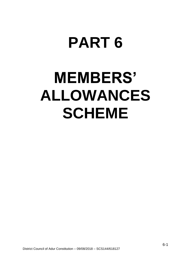# **PART 6**

# **MEMBERS' ALLOWANCES SCHEME**